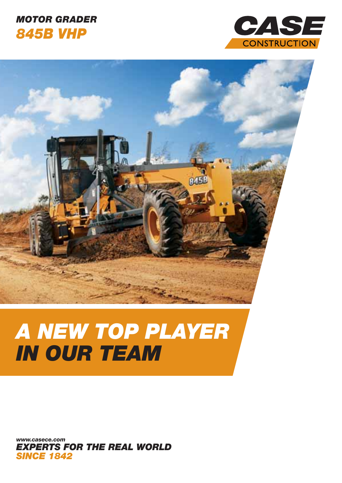### MOTOR GRADER 845B VHP





# A NEW TOP PLAYER IN OUR TEAM

EXPERTS FOR THE REAL WORLD **SINCE 1842** www.casece.com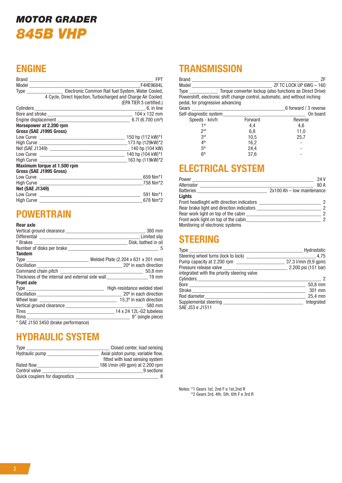## MOTOR GRADER 845B VHP

#### ENGINE

|                                                                             | <b>FPT</b><br>F4HE9684L                                        |
|-----------------------------------------------------------------------------|----------------------------------------------------------------|
| Type ____________________ Electronic Common Rail fuel System, Water Cooled, |                                                                |
|                                                                             | 4 Cycle, Direct Injection, Turbocharged and Charge Air Cooled. |
|                                                                             | (EPA TIER 3 certified.)                                        |
| Cylinders 6, in line                                                        |                                                                |
|                                                                             |                                                                |
|                                                                             |                                                                |
| Horsepower at 2.200 rpm                                                     |                                                                |
| Gross (SAE J1995 Gross)                                                     |                                                                |
|                                                                             | 150 hp (112 kW)*1                                              |
|                                                                             | 173 hp (129kW)*2                                               |
|                                                                             |                                                                |
|                                                                             |                                                                |
|                                                                             | 163 hp (119kW)*2                                               |
| Maximum torque at 1.500 rpm                                                 |                                                                |
| Gross (SAE J1995 Gross)                                                     |                                                                |
|                                                                             | 659 Nm*1                                                       |
|                                                                             | 758 Nm*2                                                       |
| <b>Net (SAE J1349)</b>                                                      |                                                                |
|                                                                             | 591 Nm*1                                                       |
|                                                                             | 678 Nm*2                                                       |

#### **POWERTRAIN** Rear axle

| Rear axie                                                                                                                                                                                                                      |                                                                                                          |
|--------------------------------------------------------------------------------------------------------------------------------------------------------------------------------------------------------------------------------|----------------------------------------------------------------------------------------------------------|
|                                                                                                                                                                                                                                | 380 mm                                                                                                   |
|                                                                                                                                                                                                                                |                                                                                                          |
|                                                                                                                                                                                                                                |                                                                                                          |
|                                                                                                                                                                                                                                | - 5                                                                                                      |
| <b>Tandem</b>                                                                                                                                                                                                                  |                                                                                                          |
|                                                                                                                                                                                                                                |                                                                                                          |
|                                                                                                                                                                                                                                |                                                                                                          |
|                                                                                                                                                                                                                                |                                                                                                          |
|                                                                                                                                                                                                                                | Thickness of the internal and external side wall <b>the state of the internal and external side wall</b> |
| <b>Front axle</b>                                                                                                                                                                                                              |                                                                                                          |
|                                                                                                                                                                                                                                | High-resistance welded steel                                                                             |
|                                                                                                                                                                                                                                |                                                                                                          |
|                                                                                                                                                                                                                                | 15,3º in each direction                                                                                  |
|                                                                                                                                                                                                                                | 580 mm                                                                                                   |
|                                                                                                                                                                                                                                |                                                                                                          |
| Rims and the contract of the contract of the contract of the contract of the contract of the contract of the contract of the contract of the contract of the contract of the contract of the contract of the contract of the c | 9" (single piece)                                                                                        |
| * SAE J150 3450 (brake performance)                                                                                                                                                                                            |                                                                                                          |

HYDRAULIC SYSTEM

| Type                           | Closed center, load sensing       |
|--------------------------------|-----------------------------------|
| Hydraulic pump                 | Axial piston pump, variable flow, |
|                                | fitted with load sensing system   |
| Rated flow                     | 186 I/min (49 gpm) at 2.200 rpm   |
| Control valve                  | 9 sections                        |
| Quick couplers for diagnostics | 8                                 |

#### **TRANSMISSION**

| <b>Brand</b><br>Model<br><b>Type</b><br>Powershift, electronic shift change control, automatic, and without inching<br>pedal, for progressive advancing |         | ΖF<br>ZF TC LOCK UP 6WG - 160<br>Torque converter lockup (also functions as Direct Drive) |
|---------------------------------------------------------------------------------------------------------------------------------------------------------|---------|-------------------------------------------------------------------------------------------|
| Gears                                                                                                                                                   |         | 6 forward / 3 reverse                                                                     |
| Self-diagnostic system                                                                                                                                  |         | On board                                                                                  |
| Speeds - km/h                                                                                                                                           | Forward | Reverse                                                                                   |
| 1st                                                                                                                                                     | 4,4     | 4,6                                                                                       |
| 2 <sub>nd</sub>                                                                                                                                         | 6,8     | 11,0                                                                                      |
| 3rd                                                                                                                                                     | 10,5    | 25.7                                                                                      |
| 4 <sup>th</sup>                                                                                                                                         | 16,2    |                                                                                           |
| 5 <sup>th</sup>                                                                                                                                         | 24,4    |                                                                                           |
| 6 <sup>th</sup>                                                                                                                                         | 37,6    |                                                                                           |

#### ELECTRICAL SYSTEM

| Power                                            | 24 V                       |
|--------------------------------------------------|----------------------------|
| Alternator                                       | 80 A                       |
| Batteries                                        | 2x100 Ah - low maintenance |
| Lights                                           |                            |
| Front headlisght with direction indicators       | 2                          |
| Rear brake light and direction indicators ______ | 2                          |
| Rear work light on top of the cabin              | 2                          |
| Front work light on top of the cabin             | 2                          |
| Monitoring of electronic systems                 |                            |

#### STEERING

| <b>Type</b>                                 | Hydrostatic                                 |
|---------------------------------------------|---------------------------------------------|
| Steering wheel turns (lock to lock) _____   | 4.75                                        |
|                                             |                                             |
| Pressure release valve                      | $\frac{2.200 \text{ psi}}{151 \text{ bar}}$ |
| integrated with the priority steering valve |                                             |
|                                             |                                             |
|                                             | 50,8 mm                                     |
| Stroke                                      | 301 mm                                      |
| Rod diameter                                | $25,4 \text{ mm}$                           |
| Supplemental steering                       | Integrated                                  |
| SAE J53 e J1511                             |                                             |

Notes: \*1 Gears 1st, 2nd F e 1st,2nd R \*2 Gears 3rd, 4th, 5th, 6th F e 3rd R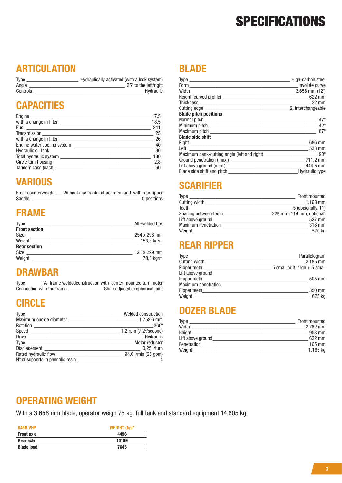## **SPECIFICATIONS**

#### **ARTICULATION**

| Type     | Hydraulically activated (with a lock system) |
|----------|----------------------------------------------|
| Angle    | 25° to the left/right                        |
| Controls | Hydraulic                                    |

#### **CAPACITIES**

|                              | 17,5              |
|------------------------------|-------------------|
|                              | 18.5 <sub>1</sub> |
|                              | 3411              |
|                              | $\frac{1}{25}$ 25 |
|                              | 26                |
|                              | 40                |
|                              | 90 I              |
|                              | 180               |
|                              | 2,81              |
| Tandem case (each) _________ | 60 I              |

#### **VARIOUS**

Front counterweight \_\_\_ Without any frontal attachment and with rear ripper<br>Saddle 5<br>bositions  $5$  positions

#### FRAME

| Type<br><u> 2000 - Jan Barnett, mars et al. (b. 1980)</u> | All-welded box       |
|-----------------------------------------------------------|----------------------|
| <b>Front section</b>                                      |                      |
| Size                                                      | 254 x 298 mm         |
|                                                           | $153.3 \text{ kg/m}$ |
| <b>Rear section</b>                                       |                      |
| Size                                                      | 121 x 299 mm         |
| Weight _                                                  | 78,3 kg/m            |

#### DRAWBAR

Type \_\_\_\_\_\_"A" frame weldedconstruction with center mounted turn motor Connection with the frame \_\_\_\_\_\_\_\_\_\_\_\_\_\_Shim adjustable spherical joint

#### **CIRCLE**

| <b>Type</b>                        | Welded construction   |
|------------------------------------|-----------------------|
|                                    |                       |
|                                    | $360^{\circ}$         |
|                                    | 1,2 rpm (7,2% second) |
|                                    | Hydraulic             |
|                                    | Motor reductor        |
|                                    | $0.25$ I/turn         |
|                                    | 94,6 l/min (25 gpm)   |
| $No$ of supports in phenolic resin |                       |

#### BLADE

|                                                                       | High-carbon steel<br>Involute curve |
|-----------------------------------------------------------------------|-------------------------------------|
|                                                                       |                                     |
|                                                                       |                                     |
|                                                                       |                                     |
|                                                                       | 2, interchangeable                  |
| <b>Blade pitch positions</b>                                          |                                     |
|                                                                       | $47^{\circ}$                        |
|                                                                       | $42^{\circ}$                        |
|                                                                       | $87^\circ$                          |
| <b>Blade side shift</b>                                               |                                     |
|                                                                       | 686 mm                              |
|                                                                       | 533 mm                              |
| Maximum bank-cutting angle (left and right) _________________________ | $90^{\circ}$                        |
| Ground penetration (max.)                                             | 711,2 mm                            |
|                                                                       | 444,5 mm                            |
|                                                                       | <b>Hydraulic type</b>               |

#### **SCARIFIER**

| Type                                | Front mounted             |
|-------------------------------------|---------------------------|
| Cutting width <b>Cutting</b>        | $1.168$ mm                |
| Teeth_____________                  | 5 (opcionally, 11)        |
| Spacing between teeth               | 229 mm (114 mm, optional) |
| Lift above ground <b>Example 20</b> | 527 mm                    |
| <b>Maximum Penetration</b>          | 318 mm                    |
| Weight                              | 570 kg                    |

#### REAR RIPPER

| Type                       | Parallelogram                  |
|----------------------------|--------------------------------|
| Cutting width              | 2.185 mm                       |
| Ripper teeth               | 5 small or 3 large $+$ 5 small |
| Lift above ground          |                                |
| Ripper teeth               | 505 mm                         |
| <b>Maximum penetration</b> |                                |
| Ripper teeth               | 350 mm                         |
| Weight                     | 625 kg                         |

#### DOZER BLADE

| <b>Type</b>       | Front mounted |
|-------------------|---------------|
| Width             | $2.762$ mm    |
| Height            | 953 mm        |
| Lift above ground | 622 mm        |
| Penetration       | $165$ mm      |
| Weight            | $1.165$ kg    |

#### OPERATING WEIGHT

With a 3.658 mm blade, operator weigh 75 kg, full tank and standard equipment 14.605 kg

| <b>845B VHP</b>   | WEIGHT $(kg)^*$ |
|-------------------|-----------------|
| <b>Front axle</b> | 4496            |
| Rear axle         | 10109           |
| <b>Blade load</b> | 7645            |